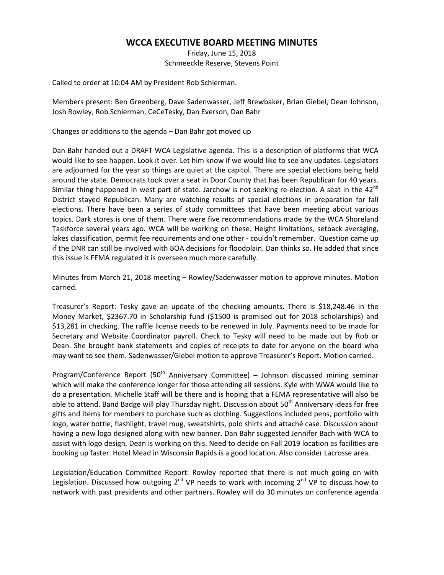## **WCCA EXECUTIVE BOARD MEETING MINUTES**

Friday, June 15, 2018 Schmeeckle Reserve, Stevens Point

Called to order at 10:04 AM by President Rob Schierman.

Members present: Ben Greenberg, Dave Sadenwasser, Jeff Brewbaker, Brian Giebel, Dean Johnson, Josh Rowley, Rob Schierman, CeCeTesky, Dan Everson, Dan Bahr

Changes or additions to the agenda – Dan Bahr got moved up

Dan Bahr handed out a DRAFT WCA Legislative agenda. This is a description of platforms that WCA would like to see happen. Look it over. Let him know if we would like to see any updates. Legislators are adjourned for the year so things are quiet at the capitol. There are special elections being held around the state. Democrats took over a seat in Door County that has been Republican for 40 years. Similar thing happened in west part of state. Jarchow is not seeking re-election. A seat in the  $42^{\text{nd}}$ District stayed Republican. Many are watching results of special elections in preparation for fall elections. There have been a series of study committees that have been meeting about various topics. Dark stores is one of them. There were five recommendations made by the WCA Shoreland Taskforce several years ago. WCA will be working on these. Height limitations, setback averaging, lakes classification, permit fee requirements and one other - couldn't remember. Question came up if the DNR can still be involved with BOA decisions for floodplain. Dan thinks so. He added that since this issue is FEMA regulated it is overseen much more carefully.

Minutes from March 21, 2018 meeting – Rowley/Sadenwasser motion to approve minutes. Motion carried.

Treasurer's Report: Tesky gave an update of the checking amounts. There is \$18,248.46 in the Money Market, \$2367.70 in Scholarship fund (\$1500 is promised out for 2018 scholarships) and \$13,281 in checking. The raffle license needs to be renewed in July. Payments need to be made for Secretary and Website Coordinator payroll. Check to Tesky will need to be made out by Rob or Dean. She brought bank statements and copies of receipts to date for anyone on the board who may want to see them. Sadenwasser/Giebel motion to approve Treasurer's Report. Motion carried.

Program/Conference Report (50<sup>th</sup> Anniversary Committee) – Johnson discussed mining seminar which will make the conference longer for those attending all sessions. Kyle with WWA would like to do a presentation. Michelle Staff will be there and is hoping that a FEMA representative will also be able to attend. Band Badge will play Thursday night. Discussion about 50<sup>th</sup> Anniversary ideas for free gifts and items for members to purchase such as clothing. Suggestions included pens, portfolio with logo, water bottle, flashlight, travel mug, sweatshirts, polo shirts and attaché case. Discussion about having a new logo designed along with new banner. Dan Bahr suggested Jennifer Bach with WCA to assist with logo design. Dean is working on this. Need to decide on Fall 2019 location as facilities are booking up faster. Hotel Mead in Wisconsin Rapids is a good location. Also consider Lacrosse area.

Legislation/Education Committee Report: Rowley reported that there is not much going on with Legislation. Discussed how outgoing  $2^{nd}$  VP needs to work with incoming  $2^{nd}$  VP to discuss how to network with past presidents and other partners. Rowley will do 30 minutes on conference agenda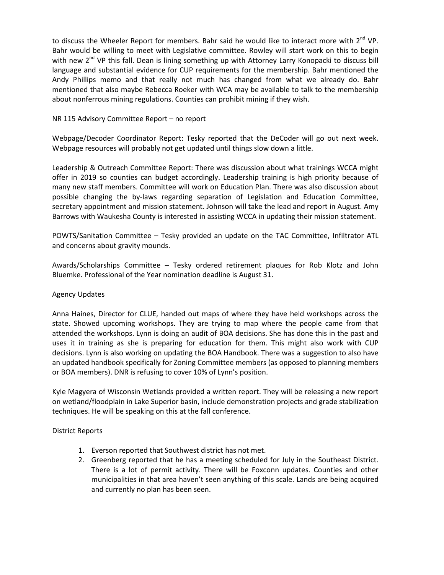to discuss the Wheeler Report for members. Bahr said he would like to interact more with  $2^{nd}$  VP. Bahr would be willing to meet with Legislative committee. Rowley will start work on this to begin with new 2<sup>nd</sup> VP this fall. Dean is lining something up with Attorney Larry Konopacki to discuss bill language and substantial evidence for CUP requirements for the membership. Bahr mentioned the Andy Phillips memo and that really not much has changed from what we already do. Bahr mentioned that also maybe Rebecca Roeker with WCA may be available to talk to the membership about nonferrous mining regulations. Counties can prohibit mining if they wish.

## NR 115 Advisory Committee Report – no report

Webpage/Decoder Coordinator Report: Tesky reported that the DeCoder will go out next week. Webpage resources will probably not get updated until things slow down a little.

Leadership & Outreach Committee Report: There was discussion about what trainings WCCA might offer in 2019 so counties can budget accordingly. Leadership training is high priority because of many new staff members. Committee will work on Education Plan. There was also discussion about possible changing the by-laws regarding separation of Legislation and Education Committee, secretary appointment and mission statement. Johnson will take the lead and report in August. Amy Barrows with Waukesha County is interested in assisting WCCA in updating their mission statement.

POWTS/Sanitation Committee – Tesky provided an update on the TAC Committee, Infiltrator ATL and concerns about gravity mounds.

Awards/Scholarships Committee – Tesky ordered retirement plaques for Rob Klotz and John Bluemke. Professional of the Year nomination deadline is August 31.

## Agency Updates

Anna Haines, Director for CLUE, handed out maps of where they have held workshops across the state. Showed upcoming workshops. They are trying to map where the people came from that attended the workshops. Lynn is doing an audit of BOA decisions. She has done this in the past and uses it in training as she is preparing for education for them. This might also work with CUP decisions. Lynn is also working on updating the BOA Handbook. There was a suggestion to also have an updated handbook specifically for Zoning Committee members (as opposed to planning members or BOA members). DNR is refusing to cover 10% of Lynn's position.

Kyle Magyera of Wisconsin Wetlands provided a written report. They will be releasing a new report on wetland/floodplain in Lake Superior basin, include demonstration projects and grade stabilization techniques. He will be speaking on this at the fall conference.

## District Reports

- 1. Everson reported that Southwest district has not met.
- 2. Greenberg reported that he has a meeting scheduled for July in the Southeast District. There is a lot of permit activity. There will be Foxconn updates. Counties and other municipalities in that area haven't seen anything of this scale. Lands are being acquired and currently no plan has been seen.